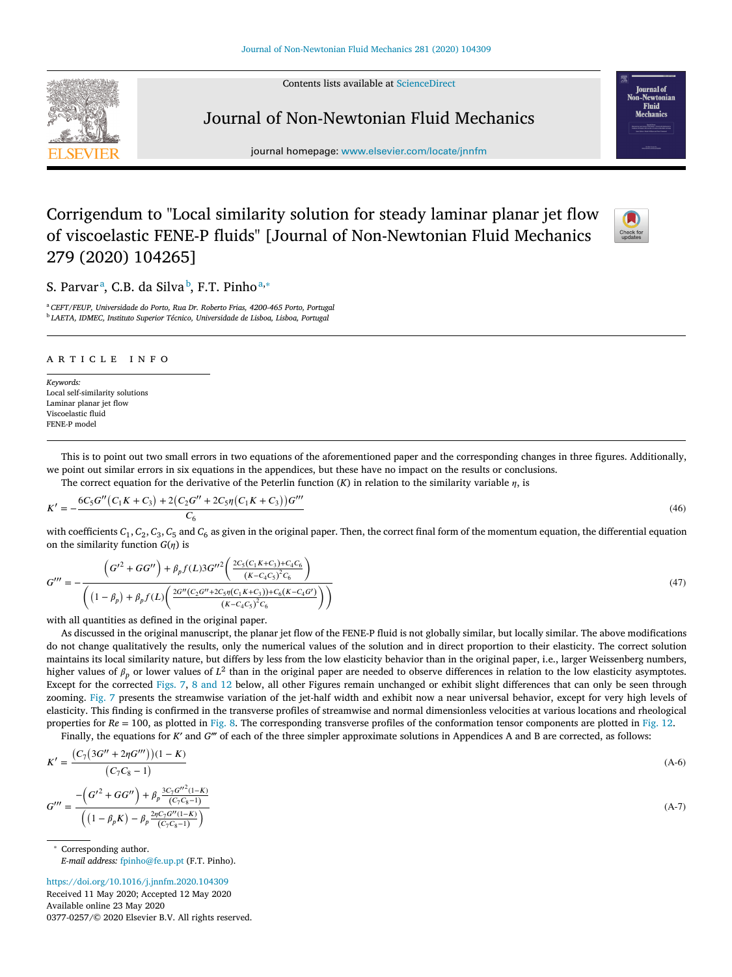Contents lists available at [ScienceDirect](http://www.ScienceDirect.com)



## Journal of Non-Newtonian Fluid Mechanics

journal homepage: [www.elsevier.com/locate/jnnfm](http://www.elsevier.com/locate/jnnfm)

## Corrigendum to "Local similarity solution for steady laminar planar jet flow of viscoelastic FENE-P fluids" [Journal of Non-Newtonian Fluid Mechanics 279 (2020) 104265]

S. Parvarª, C.B. da Silva♭, F.T. Pinhoª,\*

<sup>a</sup> *CEFT/FEUP, Universidade do Porto, Rua Dr. Roberto Frias, 4200-465 Porto, Portugal* <sup>b</sup> *LAETA, IDMEC, Instituto Superior Técnico, Universidade de Lisboa, Lisboa, Portugal*

## a r t i c l e i n f o

*Keywords:* Local self-similarity solutions Laminar planar jet flow Viscoelastic fluid FENE-P model

This is to point out two small errors in two equations of the aforementioned paper and the corresponding changes in three figures. Additionally, we point out similar errors in six equations in the appendices, but these have no impact on the results or conclusions.

The correct equation for the derivative of the Peterlin function  $(K)$  in relation to the similarity variable  $\eta$ , is

$$
K' = -\frac{6C_5G''(C_1K + C_3) + 2(C_2G'' + 2C_5\eta(C_1K + C_3))G'''}{C_6}
$$
\n
$$
(46)
$$

with coefficients  $C_1$ ,  $C_2$ ,  $C_3$ ,  $C_5$  and  $C_6$  as given in the original paper. Then, the correct final form of the momentum equation, the differential equation on the similarity function  $G(n)$  is

$$
G''' = -\frac{\left(G'^2 + GG''\right) + \beta_p f(L)3G''^2 \left(\frac{2C_5(C_1 K + C_3) + C_4 C_6}{(K - C_4 C_5)^2 C_6}\right)}{\left(\left(1 - \beta_p\right) + \beta_p f(L) \left(\frac{2G''(C_2 G'' + 2C_5 \eta(C_1 K + C_3)) + C_6(K - C_4 G')}{(K - C_4 C_5)^2 C_6}\right)\right)}
$$
(47)

with all quantities as defined in the original paper.

As discussed in the original manuscript, the planar jet flow of the FENE-P fluid is not globally similar, but locally similar. The above modifications do not change qualitatively the results, only the numerical values of the solution and in direct proportion to their elasticity. The correct solution maintains its local similarity nature, but differs by less from the low elasticity behavior than in the original paper, i.e., larger Weissenberg numbers, higher values of  $\beta_p$  or lower values of  $L^2$  than in the original paper are needed to observe differences in relation to the low elasticity asymptotes. Except for the corrected [Figs.](#page-1-0) 7, 8 [and](#page-1-0) 12 below, all other Figures remain unchanged or exhibit slight differences that can only be seen through zooming. [Fig.](#page-1-0) 7 presents the streamwise variation of the jet-half width and exhibit now a near universal behavior, except for very high levels of elasticity. This finding is confirmed in the transverse profiles of streamwise and normal dimensionless velocities at various locations and rheological properties for  $Re = 100$ , as plotted in [Fig.](#page-2-0) 8. The corresponding transverse profiles of the conformation tensor components are plotted in Fig. 12.

Finally, the equations for *K*′ and *G*‴ of each of the three simpler approximate solutions in Appendices A and B are corrected, as follows:

$$
K' = \frac{(C_7(3G'' + 2\eta G''))(1 - K)}{(C_7C_8 - 1)}
$$
\n
$$
G''' = \frac{-\left(G'^2 + GG''\right) + \beta_p \frac{3C_7G''^2(1 - K)}{(C_7C_8 - 1)}}{\left((1 - \beta_p K) - \beta_p \frac{2\eta C_7G''(1 - K)}{(C_7C_8 - 1)}\right)}
$$
\n(A-7)

Corresponding author. *E-mail address:* [fpinho@fe.up.pt](mailto:fpinho@fe.up.pt) (F.T. Pinho).

<https://doi.org/10.1016/j.jnnfm.2020.104309> Received 11 May 2020; Accepted 12 May 2020 Available online 23 May 2020 0377-0257/© 2020 Elsevier B.V. All rights reserved.



**Iournal** of Fluid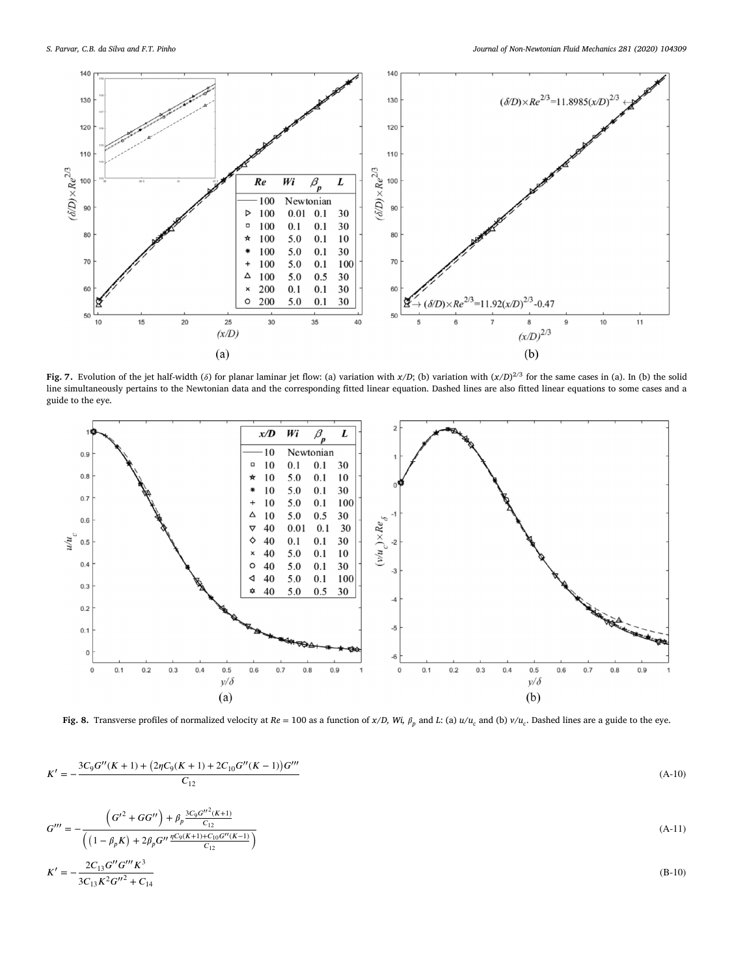<span id="page-1-0"></span>

**Fig.** 7. Evolution of the jet half-width ( $\delta$ ) for planar laminar jet flow: (a) variation with *x*/*D*; (b) variation with  $(x/D)^{2/3}$  for the same cases in (a). In (b) the solid line simultaneously pertains to the Newtonian data and the corresponding fitted linear equation. Dashed lines are also fitted linear equations to some cases and a guide to the eye.



Fig. 8. Transverse profiles of normalized velocity at  $Re = 100$  as a function of x/D, Wi,  $\beta_p$  and L: (a)  $u/u_c$  and (b)  $v/u_c$ . Dashed lines are a guide to the eye.

$$
K' = -\frac{3C_9G''(K+1) + (2\eta C_9(K+1) + 2C_{10}G''(K-1))G'''}{C_{12}}
$$
\n(A-10)

$$
G'' = -\frac{\left(G'^2 + GG''\right) + \beta_p \frac{3C_9 G''^2 (K+1)}{C_{12}}}{\left(\left(1 - \beta_p K\right) + 2\beta_p G'' \frac{\eta C_9 (K+1) + C_{10} G'' (K-1)}{C_{12}}\right)}
$$
(A-11)

$$
K' = -\frac{2C_{13}G''G'''K^3}{3C_{13}K^2G''^2 + C_{14}}
$$
(B-10)